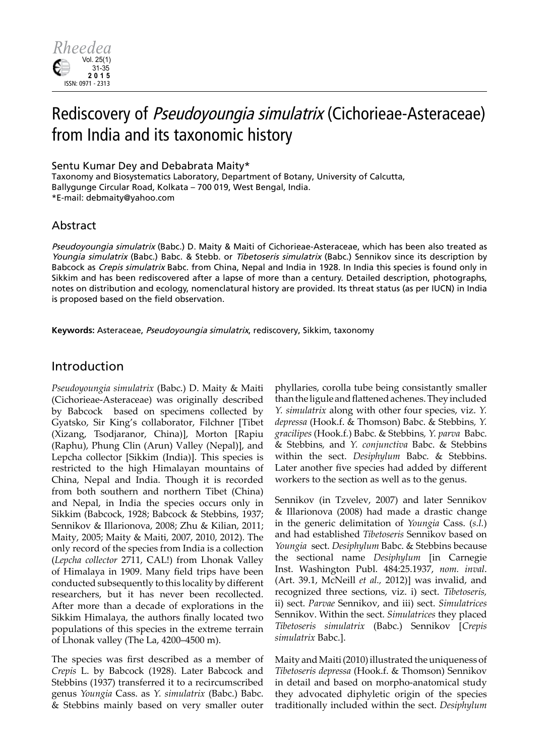

# Rediscovery of Pseudoyoungia simulatrix (Cichorieae-Asteraceae) from India and its taxonomic history

Sentu Kumar Dey and Debabrata Maity\*

Taxonomy and Biosystematics Laboratory, Department of Botany, University of Calcutta, Ballygunge Circular Road, Kolkata – 700 019, West Bengal, India. \*E-mail: debmaity@yahoo.com

### Abstract

Pseudoyoungia simulatrix (Babc.) D. Maity & Maiti of Cichorieae-Asteraceae, which has been also treated as Youngia simulatrix (Babc.) Babc. & Stebb. or Tibetoseris simulatrix (Babc.) Sennikov since its description by Babcock as Crepis simulatrix Babc. from China, Nepal and India in 1928. In India this species is found only in Sikkim and has been rediscovered after a lapse of more than a century. Detailed description, photographs, notes on distribution and ecology, nomenclatural history are provided. Its threat status (as per IUCN) in India is proposed based on the field observation.

**Keywords:** Asteraceae, Pseudoyoungia simulatrix, rediscovery, Sikkim, taxonomy

## Introduction

*Pseudoyoungia simulatrix* (Babc.) D. Maity & Maiti (Cichorieae-Asteraceae) was originally described by Babcock based on specimens collected by Gyatsko, Sir King's collaborator, Filchner [Tibet (Xizang, Tsodjaranor, China)], Morton [Rapiu (Raphu), Phung Clin (Arun) Valley (Nepal)], and Lepcha collector [Sikkim (India)]. This species is restricted to the high Himalayan mountains of China, Nepal and India. Though it is recorded from both southern and northern Tibet (China) and Nepal, in India the species occurs only in Sikkim (Babcock, 1928; Babcock & Stebbins, 1937; Sennikov & Illarionova, 2008; Zhu & Kilian, 2011; Maity, 2005; Maity & Maiti, 2007, 2010, 2012). The only record of the species from India is a collection (*Lepcha collector* 2711, CAL!) from Lhonak Valley of Himalaya in 1909. Many field trips have been conducted subsequently to this locality by different researchers, but it has never been recollected. After more than a decade of explorations in the Sikkim Himalaya, the authors finally located two populations of this species in the extreme terrain of Lhonak valley (The La, 4200–4500 m).

The species was first described as a member of *Crepis* L. by Babcock (1928). Later Babcock and Stebbins (1937) transferred it to a recircumscribed genus *Youngia* Cass. as *Y. simulatrix* (Babc.) Babc. & Stebbins mainly based on very smaller outer phyllaries, corolla tube being consistantly smaller than the ligule and flattened achenes. They included *Y. simulatrix* along with other four species, viz. *Y. depressa* (Hook.f. & Thomson) Babc. & Stebbins*, Y. gracilipes* (Hook.f*.*) Babc. & Stebbins*, Y. parva* Babc. & Stebbins*,* and *Y. conjunctiva* Babc. & Stebbins within the sect. *Desiphylum* Babc. & Stebbins. Later another five species had added by different workers to the section as well as to the genus.

Sennikov (in Tzvelev, 2007) and later Sennikov & Illarionova (2008) had made a drastic change in the generic delimitation of *Youngia* Cass. (*s.l.*) and had established *Tibetoseris* Sennikov based on *Youngia* sect. *Desiphylum* Babc. & Stebbins because the sectional name *Desiphylum* [in Carnegie Inst. Washington Publ. 484:25.1937, *nom. inval*. (Art. 39.1, McNeill *et al.,* 2012)] was invalid, and recognized three sections, viz. i) sect. *Tibetoseris,*  ii) sect. *Parvae* Sennikov, and iii) sect. *Simulatrices*  Sennikov. Within the sect. *Simulatrices* they placed *Tibetoseris simulatrix* (Babc.) Sennikov [*Crepis simulatrix* Babc.].

Maity and Maiti (2010) illustrated the uniqueness of *Tibetoseris depressa* (Hook.f. & Thomson) Sennikov in detail and based on morpho-anatomical study they advocated diphyletic origin of the species traditionally included within the sect. *Desiphylum*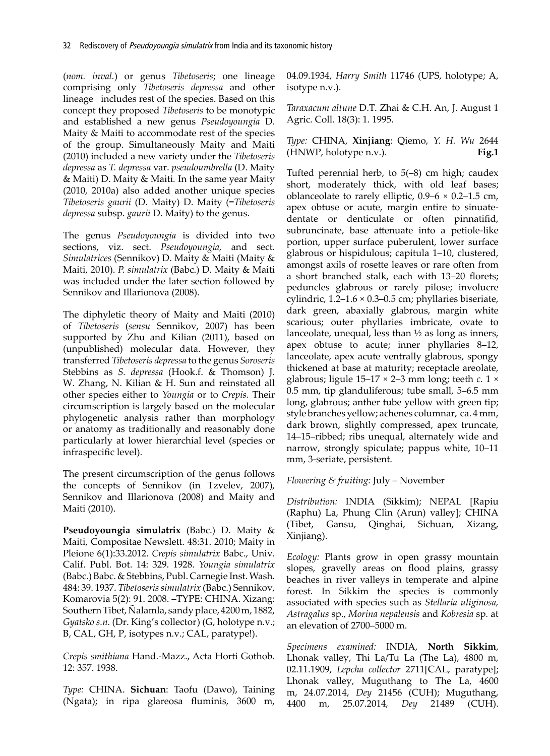(*nom. inval.*) or genus *Tibetoseris*; one lineage comprising only *Tibetoseris depressa* and other lineage includes rest of the species. Based on this concept they proposed *Tibetoseris* to be monotypic and established a new genus *Pseudoyoungia* D. Maity & Maiti to accommodate rest of the species of the group. Simultaneously Maity and Maiti (2010) included a new variety under the *Tibetoseris depressa* as *T. depressa* var. *pseudoumbrella* (D. Maity & Maiti) D. Maity & Maiti*.* In the same year Maity (2010, 2010a) also added another unique species *Tibetoseris gaurii* (D. Maity) D. Maity (=*Tibetoseris depressa* subsp. *gaurii* D. Maity) to the genus.

The genus *Pseudoyoungia* is divided into two sections, viz. sect. *Pseudoyoungia,* and sect. *Simulatrices* (Sennikov) D. Maity & Maiti (Maity & Maiti, 2010). *P. simulatrix* (Babc.) D. Maity & Maiti was included under the later section followed by Sennikov and Illarionova (2008).

The diphyletic theory of Maity and Maiti (2010) of *Tibetoseris* (*sensu* Sennikov, 2007) has been supported by Zhu and Kilian (2011), based on (unpublished) molecular data. However, they transferred *Tibetoseris depressa* to the genus *Soroseris*  Stebbins as *S. depressa* (Hook.f. & Thomson) J. W. Zhang, N. Kilian & H. Sun and reinstated all other species either to *Youngia* or to *Crepis.* Their circumscription is largely based on the molecular phylogenetic analysis rather than morphology or anatomy as traditionally and reasonably done particularly at lower hierarchial level (species or infraspecific level).

The present circumscription of the genus follows the concepts of Sennikov (in Tzvelev, 2007), Sennikov and Illarionova (2008) and Maity and Maiti (2010).

**Pseudoyoungia simulatrix** (Babc.) D. Maity & Maiti, Compositae Newslett. 48:31. 2010; Maity in Pleione 6(1):33.2012. *Crepis simulatrix* Babc., Univ. Calif. Publ. Bot. 14: 329. 1928. *Youngia simulatrix*  (Babc.) Babc. & Stebbins, Publ. Carnegie Inst. Wash. 484: 39. 1937. *Tibetoseris simulatrix* (Babc.) Sennikov, Komarovia 5(2): 91. 2008. –TYPE: CHINA. Xizang: Southern Tibet, Ñalamla, sandy place, 4200 m, 1882, *Gyatsko s.n.* (Dr. King's collector) (G, holotype n.v.; B, CAL, GH, P, isotypes n.v.; CAL, paratype!).

*Crepis smithiana* Hand.-Mazz., Acta Horti Gothob. 12: 357. 1938.

*Type:* CHINA. **Sichuan**: Taofu (Dawo), Taining (Ngata); in ripa glareosa fluminis, 3600 m, 04.09.1934, *Harry Smith* 11746 (UPS, holotype; A, isotype n.v.).

*Taraxacum altune* D.T. Zhai & C.H. An, J. August 1 Agric. Coll. 18(3): 1. 1995.

*Type:* CHINA, **Xinjiang**: Qiemo, *Y. H. Wu* 2644 (HNWP, holotype n.v.). **Fig.1**

Tufted perennial herb, to 5(–8) cm high; caudex short, moderately thick, with old leaf bases; oblanceolate to rarely elliptic,  $0.9-6 \times 0.2-1.5$  cm, apex obtuse or acute, margin entire to sinuatedentate or denticulate or often pinnatifid, subruncinate, base attenuate into a petiole-like portion, upper surface puberulent, lower surface glabrous or hispidulous; capitula 1–10, clustered, amongst axils of rosette leaves or rare often from a short branched stalk, each with 13–20 florets; peduncles glabrous or rarely pilose; involucre cylindric,  $1.2-1.6 \times 0.3-0.5$  cm; phyllaries biseriate, dark green, abaxially glabrous, margin white scarious; outer phyllaries imbricate, ovate to lanceolate, unequal, less than  $\frac{1}{2}$  as long as inners, apex obtuse to acute; inner phyllaries 8–12, lanceolate, apex acute ventrally glabrous, spongy thickened at base at maturity; receptacle areolate, glabrous; ligule 15–17 × 2–3 mm long; teeth *c.* 1 × 0.5 mm, tip glanduliferous; tube small, 5–6.5 mm long, glabrous; anther tube yellow with green tip; style branches yellow; achenes columnar, ca. 4 mm, dark brown, slightly compressed, apex truncate, 14–15–ribbed; ribs unequal, alternately wide and narrow, strongly spiculate; pappus white, 10–11 mm, 3-seriate, persistent.

#### *Flowering & fruiting:* July – November

*Distribution:* INDIA (Sikkim); NEPAL [Rapiu (Raphu) La, Phung Clin (Arun) valley]; CHINA (Tibet, Gansu, Qinghai, Sichuan, Xizang, Xinjiang).

*Ecology:* Plants grow in open grassy mountain slopes, gravelly areas on flood plains, grassy beaches in river valleys in temperate and alpine forest. In Sikkim the species is commonly associated with species such as *Stellaria uliginosa, Astragalus* sp., *Morina nepalensis* and *Kobresia* sp*.* at an elevation of 2700–5000 m.

*Specimens examined:* INDIA, **North Sikkim**, Lhonak valley, Thi La/Tu La (The La), 4800 m, 02.11.1909, *Lepcha collector* 2711[CAL, paratype]; Lhonak valley, Muguthang to The La, 4600 m, 24.07.2014, *Dey* 21456 (CUH); Muguthang, 4400 m, 25.07.2014, *Dey* 21489 (CUH).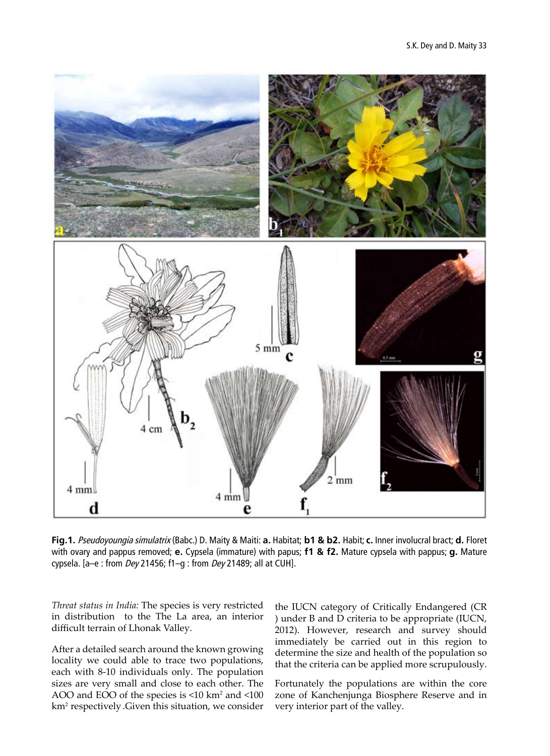

**Fig.1.** Pseudoyoungia simulatrix (Babc.) D. Maity & Maiti: **a.** Habitat; **b1 & b2.** Habit; **c.** Inner involucral bract; **d.** Floret with ovary and pappus removed; **e.** Cypsela (immature) with papus; **f1 & f2.** Mature cypsela with pappus; **g.** Mature cypsela. [a–e : from *Dey* 21456; f1–g : from *Dey* 21489; all at CUH].

*Threat status in India:* The species is very restricted in distribution to the The La area, an interior difficult terrain of Lhonak Valley.

After a detailed search around the known growing locality we could able to trace two populations, each with 8-10 individuals only. The population sizes are very small and close to each other. The AOO and EOO of the species is <10 km<sup>2</sup> and <100 km<sup>2</sup> respectively .Given this situation, we consider

the IUCN category of Critically Endangered (CR ) under B and D criteria to be appropriate (IUCN, 2012). However, research and survey should immediately be carried out in this region to determine the size and health of the population so that the criteria can be applied more scrupulously.

Fortunately the populations are within the core zone of Kanchenjunga Biosphere Reserve and in very interior part of the valley.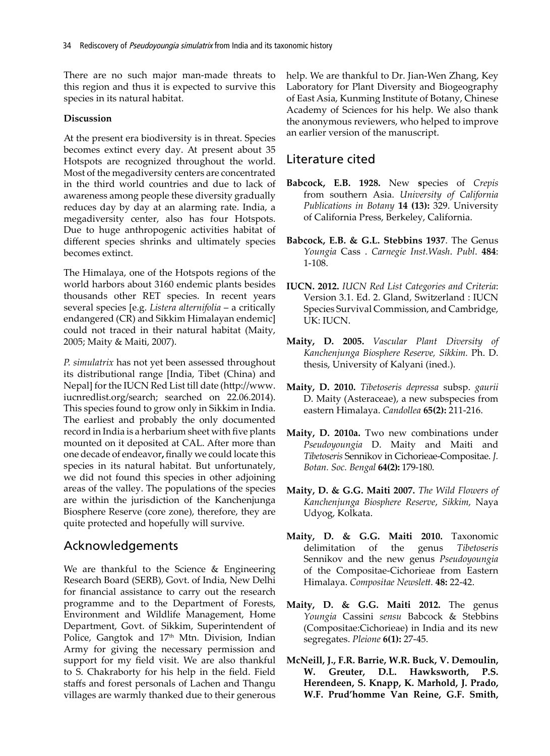There are no such major man-made threats to this region and thus it is expected to survive this species in its natural habitat.

#### **Discussion**

At the present era biodiversity is in threat. Species becomes extinct every day. At present about 35 Hotspots are recognized throughout the world. Most of the megadiversity centers are concentrated in the third world countries and due to lack of awareness among people these diversity gradually reduces day by day at an alarming rate. India, a megadiversity center, also has four Hotspots. Due to huge anthropogenic activities habitat of different species shrinks and ultimately species becomes extinct.

The Himalaya, one of the Hotspots regions of the world harbors about 3160 endemic plants besides thousands other RET species. In recent years several species [e.g. *Listera alternifolia* – a critically endangered (CR) and Sikkim Himalayan endemic] could not traced in their natural habitat (Maity, 2005; Maity & Maiti, 2007).

*P. simulatrix* has not yet been assessed throughout its distributional range [India, Tibet (China) and Nepal] for the IUCN Red List till date (http://www. iucnredlist.org/search; searched on 22.06.2014). This species found to grow only in Sikkim in India. The earliest and probably the only documented record in India is a herbarium sheet with five plants mounted on it deposited at CAL. After more than one decade of endeavor**,** finally we could locate this species in its natural habitat. But unfortunately, we did not found this species in other adjoining areas of the valley. The populations of the species are within the jurisdiction of the Kanchenjunga Biosphere Reserve (core zone), therefore, they are quite protected and hopefully will survive.

## Acknowledgements

We are thankful to the Science & Engineering Research Board (SERB), Govt. of India, New Delhi for financial assistance to carry out the research programme and to the Department of Forests, Environment and Wildlife Management, Home Department, Govt. of Sikkim, Superintendent of Police, Gangtok and 17<sup>th</sup> Mtn. Division, Indian Army for giving the necessary permission and support for my field visit. We are also thankful to S. Chakraborty for his help in the field. Field staffs and forest personals of Lachen and Thangu villages are warmly thanked due to their generous

help. We are thankful to Dr. Jian-Wen Zhang, Key Laboratory for Plant Diversity and Biogeography of East Asia, Kunming Institute of Botany, Chinese Academy of Sciences for his help. We also thank the anonymous reviewers, who helped to improve an earlier version of the manuscript.

# Literature cited

- **Babcock, E.B. 1928.** New **s**pecies of *Crepis* from southern Asia. *University of California Publications in Botany* **14 (13):** 329. University of California Press, Berkeley, California.
- **Babcock, E.B. & G.L. Stebbins 1937**. The Genus *Youngia* Cass . *Carnegie Inst.Wash*. *Publ*. **484**: 1-108.
- **IUCN. 2012.** *IUCN Red List Categories and Criteria*: Version 3.1. Ed. 2. Gland, Switzerland : IUCN Species Survival Commission, and Cambridge, UK: IUCN.
- **Maity, D. 2005.** *Vascular Plant Diversity of Kanchenjunga Biosphere Reserve, Sikkim.* Ph. D. thesis, University of Kalyani (ined.).
- **Maity, D. 2010.** *Tibetoseris depressa* subsp. *gaurii* D. Maity (Asteraceae), a new subspecies from eastern Himalaya. *Candollea* **65(2):** 211-216.
- **Maity, D. 2010a.** Two new combinations under *Pseudoyoungia* D. Maity and Maiti and *Tibetoseris* Sennikov in Cichorieae-Compositae. *J. Botan. Soc. Bengal* **64(2):** 179-180.
- **Maity, D. & G.G. Maiti 2007.** *The Wild Flowers of Kanchenjunga Biosphere Reserve*, *Sikkim,* Naya Udyog, Kolkata.
- **Maity, D. & G.G. Maiti 2010.** Taxonomic delimitation of the genus *Tibetoseris* Sennikov and the new genus *Pseudoyoungia* of the Compositae-Cichorieae from Eastern Himalaya. *Compositae Newslett.* **48:** 22-42.
- **Maity, D. & G.G. Maiti 2012.** The genus *Youngia* Cassini *sensu* Babcock & Stebbins (Compositae:Cichorieae) in India and its new segregates. *Pleione* **6(1):** 27-45.
- **McNeill, J., F.R. Barrie, W.R. Buck, V. Demoulin, W. Greuter, D.L. Hawksworth, P.S. Herendeen, S. Knapp, K. Marhold, J. Prado, W.F. Prud'homme Van Reine, G.F. Smith,**